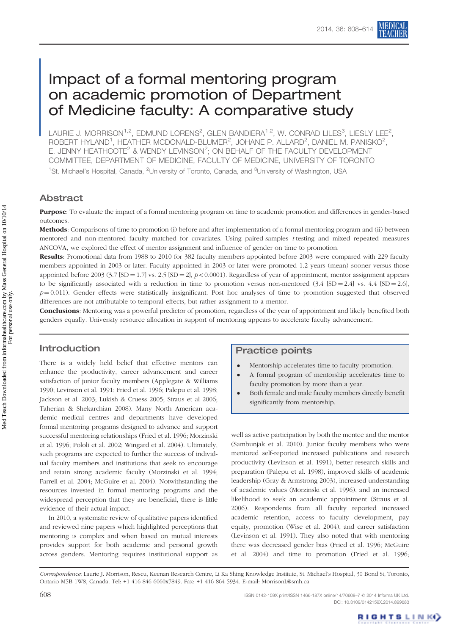# Impact of a formal mentoring program on academic promotion of Department of Medicine faculty: A comparative study

LAURIE J. MORRISON $^{1,2}$ , EDMUND LORENS $^2$ , GLEN BANDIERA $^{1,2}$ , W. CONRAD LILES $^3$ , LIESLY LEE $^2$ ,  $ROBERT HYLAND<sup>1</sup>, HEATHER MCDONALD-BLUMER<sup>2</sup>, JOHANE P. ALLARD<sup>2</sup>, DANIEL M. PANISKO<sup>2</sup>,$ E. JENNY HEATHCOTE<sup>2</sup> & WENDY LEVINSON<sup>2</sup>; ON BEHALF OF THE FACULTY DEVELOPMENT COMMITTEE, DEPARTMENT OF MEDICINE, FACULTY OF MEDICINE, UNIVERSITY OF TORONTO <sup>1</sup>St. Michael's Hospital, Canada, <sup>2</sup>University of Toronto, Canada, and <sup>3</sup>University of Washington, USA

# Abstract

Purpose: To evaluate the impact of a formal mentoring program on time to academic promotion and differences in gender-based outcomes.

Methods: Comparisons of time to promotion (i) before and after implementation of a formal mentoring program and (ii) between mentored and non-mentored faculty matched for covariates. Using paired-samples t-testing and mixed repeated measures ANCOVA, we explored the effect of mentor assignment and influence of gender on time to promotion.

Results: Promotional data from 1988 to 2010 for 382 faculty members appointed before 2003 were compared with 229 faculty members appointed in 2003 or later. Faculty appointed in 2003 or later were promoted 1.2 years (mean) sooner versus those appointed before 2003 (3.7 [SD = 1.7] vs. 2.5 [SD = 2],  $p < 0.0001$ ). Regardless of year of appointment, mentor assignment appears to be significantly associated with a reduction in time to promotion versus non-mentored  $(3.4 \text{ [SD = 2.4] vs. } 4.4 \text{ [SD = 2.6]},$  $p = 0.011$ ). Gender effects were statistically insignificant. Post hoc analyses of time to promotion suggested that observed differences are not attributable to temporal effects, but rather assignment to a mentor.

**Conclusions:** Mentoring was a powerful predictor of promotion, regardless of the year of appointment and likely benefited both genders equally. University resource allocation in support of mentoring appears to accelerate faculty advancement.

# Introduction

There is a widely held belief that effective mentors can enhance the productivity, career advancement and career satisfaction of junior faculty members (Applegate & Williams [1990](#page-5-0); Levinson et al. [1991;](#page-5-0) Fried et al. [1996;](#page-5-0) Palepu et al. [1998](#page-5-0); Jackson et al. [2003](#page-5-0); Lukish & Cruess [2005](#page-5-0); Straus et al [2006](#page-6-0); Taherian & Shekarchian [2008](#page-6-0)). Many North American academic medical centres and departments have developed formal mentoring programs designed to advance and support successful mentoring relationships (Fried et al. [1996](#page-5-0); Morzinski et al. [1996;](#page-5-0) Pololi et al. [2002](#page-5-0); Wingard et al. [2004\)](#page-6-0). Ultimately, such programs are expected to further the success of individual faculty members and institutions that seek to encourage and retain strong academic faculty (Morzinski et al. [1994](#page-5-0); Farrell et al. [2004](#page-5-0); McGuire et al. [2004](#page-5-0)). Notwithstanding the resources invested in formal mentoring programs and the widespread perception that they are beneficial, there is little evidence of their actual impact.

In 2010, a systematic review of qualitative papers identified and reviewed nine papers which highlighted perceptions that mentoring is complex and when based on mutual interests provides support for both academic and personal growth across genders. Mentoring requires institutional support as

### Practice points

- -Mentorship accelerates time to faculty promotion.
- - A formal program of mentorship accelerates time to faculty promotion by more than a year.
- - Both female and male faculty members directly benefit significantly from mentorship.

well as active participation by both the mentee and the mentor (Sambunjak et al. [2010\)](#page-5-0). Junior faculty members who were mentored self-reported increased publications and research productivity (Levinson et al. [1991\)](#page-5-0), better research skills and preparation (Palepu et al. [1998](#page-5-0)), improved skills of academic leadership (Gray & Armstrong [2003\)](#page-5-0), increased understanding of academic values (Morzinski et al. [1996\)](#page-5-0), and an increased likelihood to seek an academic appointment (Straus et al. [2006\)](#page-6-0). Respondents from all faculty reported increased academic retention, access to faculty development, pay equity, promotion (Wise et al. [2004\)](#page-6-0), and career satisfaction (Levinson et al. [1991\)](#page-5-0). They also noted that with mentoring there was decreased gender bias (Fried et al. [1996](#page-5-0); McGuire et al. [2004\)](#page-5-0) and time to promotion (Fried et al. [1996](#page-5-0);

 $608$  The state of the state of the state of the state of the state of the state of the state of the state of the state of the state of the state of the state of the state of the state of the state of the state of the sta DOI: 10.3109/0142159X.2014.8996833

Correspondence: Laurie J. Morrison, Rescu, Keenan Research Centre, Li Ka Shing Knowledge Institute, St. Michael's Hospital, 30 Bond St, Toronto, Ontario M5B 1W8, Canada. Tel: +1 416 846 6060x7849. Fax: +1 416 864 5934. E-mail: MorrisonL@smh.ca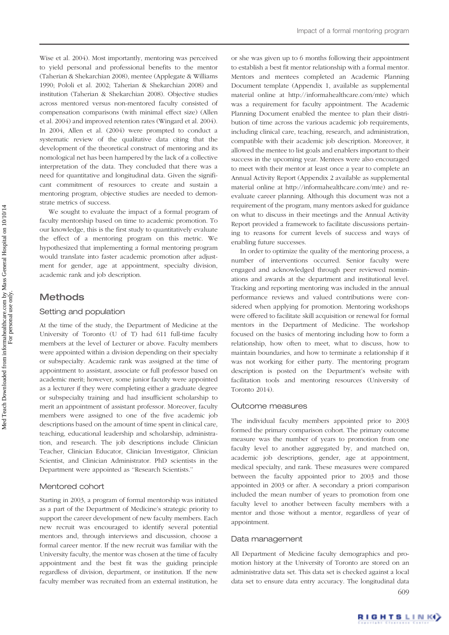Wise et al. [2004\)](#page-6-0). Most importantly, mentoring was perceived to yield personal and professional benefits to the mentor (Taherian & Shekarchian [2008](#page-6-0)), mentee (Applegate & Williams [1990](#page-5-0); Pololi et al. [2002;](#page-5-0) Taherian & Shekarchian [2008](#page-6-0)) and institution (Taherian & Shekarchian [2008](#page-6-0)). Objective studies across mentored versus non-mentored faculty consisted of compensation comparisons (with minimal effect size) (Allen et al. [2004\)](#page-5-0) and improved retention rates (Wingard et al. [2004](#page-6-0)). In 2004, Allen et al. [\(2004](#page-5-0)) were prompted to conduct a systematic review of the qualitative data citing that the development of the theoretical construct of mentoring and its nomological net has been hampered by the lack of a collective interpretation of the data. They concluded that there was a need for quantitative and longitudinal data. Given the significant commitment of resources to create and sustain a mentoring program, objective studies are needed to demonstrate metrics of success.

We sought to evaluate the impact of a formal program of faculty mentorship based on time to academic promotion. To our knowledge, this is the first study to quantitatively evaluate the effect of a mentoring program on this metric. We hypothesized that implementing a formal mentoring program would translate into faster academic promotion after adjustment for gender, age at appointment, specialty division, academic rank and job description.

### Methods

### Setting and population

At the time of the study, the Department of Medicine at the University of Toronto (U of T) had 611 full-time faculty members at the level of Lecturer or above. Faculty members were appointed within a division depending on their specialty or subspecialty. Academic rank was assigned at the time of appointment to assistant, associate or full professor based on academic merit; however, some junior faculty were appointed as a lecturer if they were completing either a graduate degree or subspecialty training and had insufficient scholarship to merit an appointment of assistant professor. Moreover, faculty members were assigned to one of the five academic job descriptions based on the amount of time spent in clinical care, teaching, educational leadership and scholarship, administration, and research. The job descriptions include Clinician Teacher, Clinician Educator, Clinician Investigator, Clinician Scientist, and Clinician Administrator. PhD scientists in the Department were appointed as ''Research Scientists.''

### Mentored cohort

Starting in 2003, a program of formal mentorship was initiated as a part of the Department of Medicine's strategic priority to support the career development of new faculty members. Each new recruit was encouraged to identify several potential mentors and, through interviews and discussion, choose a formal career mentor. If the new recruit was familiar with the University faculty, the mentor was chosen at the time of faculty appointment and the best fit was the guiding principle regardless of division, department, or institution. If the new faculty member was recruited from an external institution, he

or she was given up to 6 months following their appointment to establish a best fit mentor relationship with a formal mentor. Mentors and mentees completed an Academic Planning Document template (Appendix 1, available as supplemental material online at http://informahealthcare.com/mte) which was a requirement for faculty appointment. The Academic Planning Document enabled the mentee to plan their distribution of time across the various academic job requirements, including clinical care, teaching, research, and administration, compatible with their academic job description. Moreover, it allowed the mentee to list goals and enablers important to their success in the upcoming year. Mentees were also encouraged to meet with their mentor at least once a year to complete an Annual Activity Report (Appendix 2 available as supplemental material online at http://informahealthcare.com/mte) and reevaluate career planning. Although this document was not a requirement of the program, many mentors asked for guidance on what to discuss in their meetings and the Annual Activity Report provided a framework to facilitate discussions pertaining to reasons for current levels of success and ways of enabling future successes.

In order to optimize the quality of the mentoring process, a number of interventions occurred. Senior faculty were engaged and acknowledged through peer reviewed nominations and awards at the department and institutional level. Tracking and reporting mentoring was included in the annual performance reviews and valued contributions were considered when applying for promotion. Mentoring workshops were offered to facilitate skill acquisition or renewal for formal mentors in the Department of Medicine. The workshop focused on the basics of mentoring including how to form a relationship, how often to meet, what to discuss, how to maintain boundaries, and how to terminate a relationship if it was not working for either party. The mentoring program description is posted on the Department's website with facilitation tools and mentoring resources (University of Toronto [2014\)](#page-6-0).

#### Outcome measures

The individual faculty members appointed prior to 2003 formed the primary comparison cohort. The primary outcome measure was the number of years to promotion from one faculty level to another aggregated by, and matched on, academic job descriptions, gender, age at appointment, medical specialty, and rank. These measures were compared between the faculty appointed prior to 2003 and those appointed in 2003 or after. A secondary a priori comparison included the mean number of years to promotion from one faculty level to another between faculty members with a mentor and those without a mentor, regardless of year of appointment.

#### Data management

All Department of Medicine faculty demographics and promotion history at the University of Toronto are stored on an administrative data set. This data set is checked against a local data set to ensure data entry accuracy. The longitudinal data 609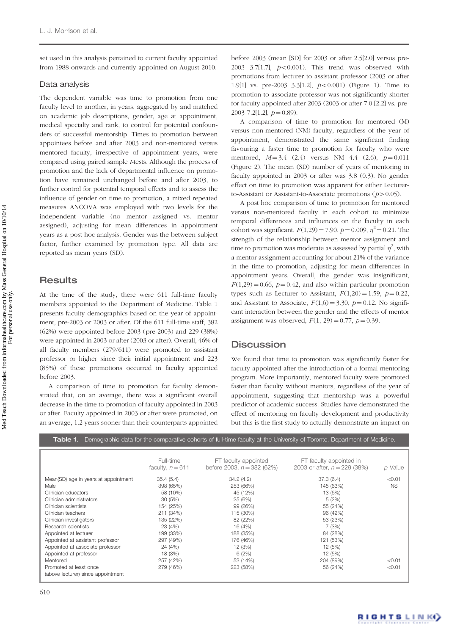set used in this analysis pertained to current faculty appointed from 1988 onwards and currently appointed on August 2010.

### Data analysis

The dependent variable was time to promotion from one faculty level to another, in years, aggregated by and matched on academic job descriptions, gender, age at appointment, medical specialty and rank, to control for potential confounders of successful mentorship. Times to promotion between appointees before and after 2003 and non-mentored versus mentored faculty, irrespective of appointment years, were compared using paired sample t-tests. Although the process of promotion and the lack of departmental influence on promotion have remained unchanged before and after 2003, to further control for potential temporal effects and to assess the influence of gender on time to promotion, a mixed repeated measures ANCOVA was employed with two levels for the independent variable (no mentor assigned vs. mentor assigned), adjusting for mean differences in appointment years as a post hoc analysis. Gender was the between subject factor, further examined by promotion type. All data are reported as mean years (SD).

# **Results**

At the time of the study, there were 611 full-time faculty members appointed to the Department of Medicine. Table 1 presents faculty demographics based on the year of appointment, pre-2003 or 2003 or after. Of the 611 full-time staff, 382 (62%) were appointed before 2003 (pre-2003) and 229 (38%) were appointed in 2003 or after (2003 or after). Overall, 46% of all faculty members (279/611) were promoted to assistant professor or higher since their initial appointment and 223 (85%) of these promotions occurred in faculty appointed before 2003.

A comparison of time to promotion for faculty demonstrated that, on an average, there was a significant overall decrease in the time to promotion of faculty appointed in 2003 or after. Faculty appointed in 2003 or after were promoted, on an average, 1.2 years sooner than their counterparts appointed

before 2003 (mean [SD] for 2003 or after 2.5[2.0] versus pre-2003 3.7[1.7],  $p < 0.001$ ). This trend was observed with promotions from lecturer to assistant professor (2003 or after 1.9[1] vs. pre-2003 3.3[1.2],  $p < 0.001$ ) [\(Figure 1\)](#page-3-0). Time to promotion to associate professor was not significantly shorter for faculty appointed after 2003 (2003 or after 7.0 [2.2] vs. pre- $2003$  7.2[1.2],  $p=0.89$ ).

A comparison of time to promotion for mentored (M) versus non-mentored (NM) faculty, regardless of the year of appointment, demonstrated the same significant finding favouring a faster time to promotion for faculty who were mentored,  $M = 3.4$  (2.4) versus NM 4.4 (2.6),  $p = 0.011$ ([Figure 2\)](#page-3-0). The mean (SD) number of years of mentoring in faculty appointed in 2003 or after was 3.8 (0.3). No gender effect on time to promotion was apparent for either Lecturerto-Assistant or Assistant-to-Associate promotions ( $p > 0.05$ ).

A post hoc comparison of time to promotion for mentored versus non-mentored faculty in each cohort to minimize temporal differences and influences on the faculty in each cohort was significant,  $F(1,29) = 7.90$ ,  $p = 0.009$ ,  $\eta^2 = 0.21$ . The strength of the relationship between mentor assignment and time to promotion was moderate as assessed by partial  $\eta^2$ , with a mentor assignment accounting for about 21% of the variance in the time to promotion, adjusting for mean differences in appointment years. Overall, the gender was insignificant,  $F(1,29) = 0.66$ ,  $p = 0.42$ , and also within particular promotion types such as Lecturer to Assistant,  $F(1,20) = 1.59$ ,  $p = 0.22$ , and Assistant to Associate,  $F(1,6) = 3.30$ ,  $p = 0.12$ . No significant interaction between the gender and the effects of mentor assignment was observed,  $F(1, 29) = 0.77$ ,  $p = 0.39$ .

# **Discussion**

We found that time to promotion was significantly faster for faculty appointed after the introduction of a formal mentoring program. More importantly, mentored faculty were promoted faster than faculty without mentors, regardless of the year of appointment, suggesting that mentorship was a powerful predictor of academic success. Studies have demonstrated the effect of mentoring on faculty development and productivity but this is the first study to actually demonstrate an impact on

**RIGHTSLINK** 

| Demographic data for the comparative cohorts of full-time faculty at the University of Toronto, Department of Medicine.<br>Table 1.                                                                                                                                                                                                                              |                                                                                                                                                                           |                                                                                                                                                                      |                                                                                                                                                                 |                                         |
|------------------------------------------------------------------------------------------------------------------------------------------------------------------------------------------------------------------------------------------------------------------------------------------------------------------------------------------------------------------|---------------------------------------------------------------------------------------------------------------------------------------------------------------------------|----------------------------------------------------------------------------------------------------------------------------------------------------------------------|-----------------------------------------------------------------------------------------------------------------------------------------------------------------|-----------------------------------------|
|                                                                                                                                                                                                                                                                                                                                                                  | Full-time<br>faculty, $n = 611$                                                                                                                                           | FT faculty appointed<br>before 2003, $n = 382$ (62%)                                                                                                                 | FT faculty appointed in<br>2003 or after, $n = 229$ (38%)                                                                                                       | p Value                                 |
| Mean(SD) age in years at appointment<br>Male<br>Clinician educators<br>Clinician administrators<br>Clinician scientists<br>Clinician teachers<br>Clinician investigators<br>Research scientists<br>Appointed at lecturer<br>Appointed at assistant professor<br>Appointed at associate professor<br>Appointed at professor<br>Mentored<br>Promoted at least once | 35.4(5.4)<br>398 (65%)<br>58 (10%)<br>30 (5%)<br>154 (25%)<br>211 (34%)<br>135 (22%)<br>23 (4%)<br>199 (33%)<br>297 (49%)<br>24 (4%)<br>18 (3%)<br>257 (42%)<br>279 (46%) | 34.2(4.2)<br>253 (66%)<br>45 (12%)<br>25 (6%)<br>99 (26%)<br>115 (30%)<br>82 (22%)<br>16 (4%)<br>188 (35%)<br>176 (46%)<br>12 (3%)<br>6(2%)<br>53 (14%)<br>223 (58%) | 37.3(6.4)<br>145 (63%)<br>13 (6%)<br>5(2%)<br>55 (24%)<br>96 (42%)<br>53 (23%)<br>7(3%)<br>84 (28%)<br>121 (53%)<br>12 (5%)<br>12 (5%)<br>204 (89%)<br>56 (24%) | < 0.01<br><b>NS</b><br>< 0.01<br>< 0.01 |
| (above lecturer) since appointment                                                                                                                                                                                                                                                                                                                               |                                                                                                                                                                           |                                                                                                                                                                      |                                                                                                                                                                 |                                         |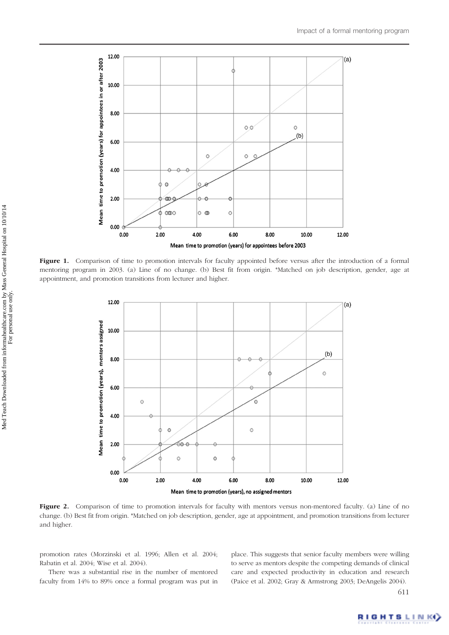<span id="page-3-0"></span>

Figure 1. Comparison of time to promotion intervals for faculty appointed before versus after the introduction of a formal mentoring program in 2003. (a) Line of no change. (b) Best fit from origin. \*Matched on job description, gender, age at appointment, and promotion transitions from lecturer and higher.



Figure 2. Comparison of time to promotion intervals for faculty with mentors versus non-mentored faculty. (a) Line of no change. (b) Best fit from origin. \*Matched on job description, gender, age at appointment, and promotion transitions from lecturer and higher.

promotion rates (Morzinski et al. [1996](#page-5-0); Allen et al. [2004](#page-5-0); Rabatin et al. [2004](#page-5-0); Wise et al. [2004\)](#page-6-0).

There was a substantial rise in the number of mentored faculty from 14% to 89% once a formal program was put in

place. This suggests that senior faculty members were willing to serve as mentors despite the competing demands of clinical care and expected productivity in education and research (Paice et al. [2002](#page-5-0); Gray & Armstrong [2003;](#page-5-0) DeAngelis [2004\)](#page-5-0).

611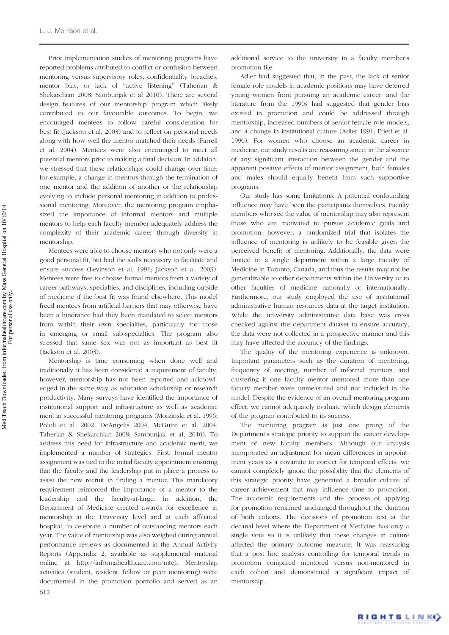Prior implementation studies of mentoring programs have reported problems attributed to conflict or confusion between mentoring versus supervisory roles, confidentiality breaches, mentor bias, or lack of ''active listening'' (Taherian & Shekarchian [2008;](#page-6-0) Sambunjak et al [2010](#page-5-0)). There are several design features of our mentorship program which likely contributed to our favourable outcomes. To begin, we encouraged mentees to follow careful consideration for best fit (Jackson et al. [2003](#page-5-0)) and to reflect on personal needs along with how well the mentor matched their needs (Farrell et al. [2004\)](#page-5-0). Mentees were also encouraged to meet all potential mentors prior to making a final decision. In addition, we stressed that these relationships could change over time; for example, a change in mentors through the termination of one mentor and the addition of another or the relationship evolving to include personal mentoring in addition to professional mentoring. Moreover, the mentoring program emphasized the importance of informal mentors and multiple mentors to help each faculty member adequately address the complexity of their academic career through diversity in mentorship.

Mentees were able to choose mentors who not only were a good personal fit, but had the skills necessary to facilitate and ensure success (Levinson et al. [1991;](#page-5-0) Jackson et al. [2003](#page-5-0)). Mentees were free to choose formal mentors from a variety of career pathways, specialties, and disciplines, including outside of medicine if the best fit was found elsewhere. This model freed mentees from artificial barriers that may otherwise have been a hindrance had they been mandated to select mentors from within their own specialties, particularly for those in emerging or small sub-specialties. The program also stressed that same sex was not as important as best fit (Jackson et al. [2003\)](#page-5-0).

Mentorship is time consuming when done well and traditionally it has been considered a requirement of faculty; however, mentorship has not been reported and acknowledged in the same way as education scholarship or research productivity. Many surveys have identified the importance of institutional support and infrastructure as well as academic merit in successful mentoring programs (Morzinski et al. [1996](#page-5-0); Pololi et al. [2002;](#page-5-0) DeAngelis [2004](#page-5-0); McGuire et al. [2004](#page-5-0); Taherian & Shekarchian [2008](#page-6-0); Sambunjak et al. [2010](#page-5-0)). To address this need for infrastructure and academic merit, we implemented a number of strategies. First, formal mentor assignment was tied to the initial faculty appointment ensuring that the faculty and the leadership put in place a process to assist the new recruit in finding a mentor. This mandatory requirement reinforced the importance of a mentor to the leadership and the faculty-at-large. In addition, the Department of Medicine created awards for excellence in mentorship at the University level and at each affiliated hospital, to celebrate a number of outstanding mentors each year. The value of mentorship was also weighed during annual performance reviews as documented in the Annual Activity Reports (Appendix 2, available as supplemental material online at http://informahealthcare.com/mte). Mentorship activities (student, resident, fellow or peer mentoring) were documented in the promotion portfolio and served as an 612

additional service to the university in a faculty member's promotion file.

Adler had suggested that, in the past, the lack of senior female role models in academic positions may have deterred young women from pursuing an academic career, and the literature from the 1990s had suggested that gender bias existed in promotion and could be addressed through mentorship, increased numbers of senior female role models, and a change in institutional culture (Adler [1991](#page-5-0); Fried et al. [1996\)](#page-5-0). For women who choose an academic career in medicine, our study results are reassuring since, in the absence of any significant interaction between the gender and the apparent positive effects of mentor assignment, both females and males should equally benefit from such supportive programs.

Our study has some limitations. A potential confounding influence may have been the participants themselves. Faculty members who see the value of mentorship may also represent those who are motivated to pursue academic goals and promotion; however, a randomized trial that isolates the influence of mentoring is unlikely to be feasible given the perceived benefit of mentoring. Additionally, the data were limited to a single department within a large Faculty of Medicine in Toronto, Canada, and thus the results may not be generalizable to other departments within the University or to other faculties of medicine nationally or internationally. Furthermore, our study employed the use of institutional administrative human resources data at the target institution. While the university administrative data base was cross checked against the department dataset to ensure accuracy, the data were not collected in a prospective manner and this may have affected the accuracy of the findings.

The quality of the mentoring experience is unknown. Important parameters such as the duration of mentoring, frequency of meeting, number of informal mentors, and clustering if one faculty mentor mentored more than one faculty member were unmeasured and not included in the model. Despite the evidence of an overall mentoring program effect, we cannot adequately evaluate which design elements of the program contributed to its success.

The mentoring program is just one prong of the Department's strategic priority to support the career development of new faculty members. Although our analysis incorporated an adjustment for mean differences in appointment years as a covariate to correct for temporal effects, we cannot completely ignore the possibility that the elements of this strategic priority have generated a broader culture of career achievement that may influence time to promotion. The academic requirements and the process of applying for promotion remained unchanged throughout the duration of both cohorts. The decisions of promotion rest at the decanal level where the Department of Medicine has only a single vote so it is unlikely that these changes in culture affected the primary outcome measure. It was reassuring that a post hoc analysis controlling for temporal trends in promotion compared mentored versus non-mentored in each cohort and demonstrated a significant impact of mentorship.

RIGHTS LINK()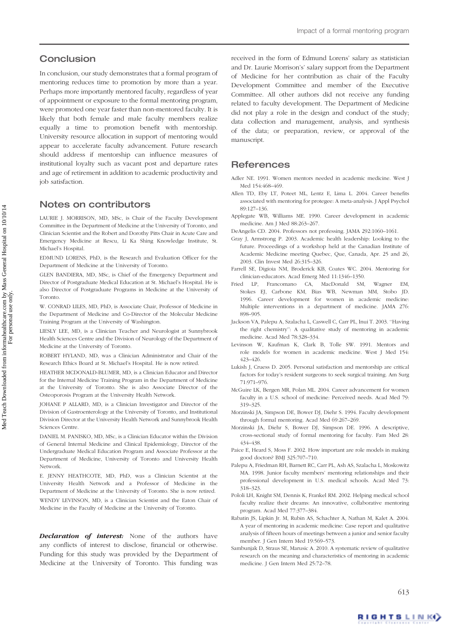# <span id="page-5-0"></span>**Conclusion**

In conclusion, our study demonstrates that a formal program of mentoring reduces time to promotion by more than a year. Perhaps more importantly mentored faculty, regardless of year of appointment or exposure to the formal mentoring program, were promoted one year faster than non-mentored faculty. It is likely that both female and male faculty members realize equally a time to promotion benefit with mentorship. University resource allocation in support of mentoring would appear to accelerate faculty advancement. Future research should address if mentorship can influence measures of institutional loyalty such as vacant post and departure rates and age of retirement in addition to academic productivity and job satisfaction.

### Notes on contributors

LAURIE J. MORRISON, MD, MSc, is Chair of the Faculty Development Committee in the Department of Medicine at the University of Toronto, and Clinician Scientist and the Robert and Dorothy Pitts Chair in Acute Care and Emergency Medicine at Rescu, Li Ka Shing Knowledge Institute, St. Michael's Hospital.

EDMUND LORENS, PhD, is the Research and Evaluation Officer for the Department of Medicine at the University of Toronto.

GLEN BANDIERA, MD, MSc, is Chief of the Emergency Department and Director of Postgraduate Medical Education at St. Michael's Hospital. He is also Director of Postgraduate Programs in Medicine at the University of Toronto.

W. CONRAD LILES, MD, PhD, is Associate Chair, Professor of Medicine in the Department of Medicine and Co-Director of the Molecular Medicine Training Program at the University of Washington.

LIESLY LEE, MD, is a Clinician Teacher and Neurologist at Sunnybrook Health Sciences Centre and the Division of Neurology of the Department of Medicine at the University of Toronto.

ROBERT HYLAND, MD, was a Clinician Administrator and Chair of the Research Ethics Board at St. Michael's Hospital. He is now retired.

HEATHER MCDONALD-BLUMER, MD, is a Clinician Educator and Director for the Internal Medicine Training Program in the Department of Medicine at the University of Toronto. She is also Associate Director of the Osteoporosis Program at the University Health Network.

JOHANE P ALLARD, MD, is a Clinician Investigator and Director of the Division of Gastroenterology at the University of Toronto, and Institutional Division Director at the University Health Network and Sunnybrook Health Sciences Centre.

DANIEL M. PANISKO, MD, MSc, is a Clinician Educator within the Division of General Internal Medicine and Clinical Epidemiology, Director of the Undergraduate Medical Education Program and Associate Professor at the Department of Medicine, University of Toronto and University Health Network.

E. JENNY HEATHCOTE, MD, PhD, was a Clinician Scientist at the University Health Network and a Professor of Medicine in the Department of Medicine at the University of Toronto. She is now retired. WENDY LEVINSON, MD, is a Clinician Scientist and the Eaton Chair of Medicine in the Faculty of Medicine at the University of Toronto.

**Declaration of interest:** None of the authors have any conflicts of interest to disclose, financial or otherwise. Funding for this study was provided by the Department of Medicine at the University of Toronto. This funding was

received in the form of Edmund Lorens' salary as statistician and Dr. Laurie Morrison's' salary support from the Department of Medicine for her contribution as chair of the Faculty Development Committee and member of the Executive Committee. All other authors did not receive any funding related to faculty development. The Department of Medicine did not play a role in the design and conduct of the study; data collection and management, analysis, and synthesis of the data; or preparation, review, or approval of the manuscript.

### **References**

- Adler NE. 1991. Women mentors needed in academic medicine. West J Med 154:468-469
- Allen TD, Eby LT, Poteet ML, Lentz E, Lima L. 2004. Career benefits associated with mentoring for protegee: A meta-analysis. J Appl Psychol 89:127–136.
- Applegate WB, Williams ME. 1990. Career development in academic medicine. Am J Med 88:263–267.
- DeAngelis CD. 2004. Professors not professing. JAMA 292:1060–1061.
- Gray J, Armstrong P. 2003. Academic health leadership: Looking to the future. Proceedings of a workshop held at the Canadian Institute of Academic Medicine meeting Quebec, Que, Canada, Apr. 25 and 26, 2003. Clin Invest Med 26:315–326.
- Farrell SE, Digioia NM, Broderick KB, Coates WC. 2004. Mentoring for clinician-educators. Acad Emerg Med 11:1346–1350.
- Fried LP, Francomano CA, MacDonald SM, Wagner EM, Stokes EJ, Carbone KM, Bias WB, Newman MM, Stobo JD. 1996. Career development for women in academic medicine: Multiple interventions in a department of medicine. JAMA 276: 898–905.
- Jackson VA, Palepu A, Szalacha L, Caswell C, Carr PL, Inui T. 2003. ''Having the right chemistry'': A qualitative study of mentoring in academic medicine. Acad Med 78:328–334.
- Levinson W, Kaufman K, Clark B, Tolle SW. 1991. Mentors and role models for women in academic medicine. West J Med 154: 423–426.
- Lukish J, Cruess D. 2005. Personal satisfaction and mentorship are critical factors for today's resident surgeons to seek surgical training. Am Surg 71:971–976.
- McGuire LK, Bergen MR, Polan ML. 2004. Career advancement for women faculty in a U.S. school of medicine: Perceived needs. Acad Med 79: 319–325.
- Morzinski JA, Simpson DE, Bower DJ, Diehr S. 1994. Faculty development through formal mentoring. Acad Med 69:267–269.
- Morzinski JA, Diehr S, Bower DJ, Simpson DE. 1996. A descriptive, cross-sectional study of formal mentoring for faculty. Fam Med 28: 434–438.
- Paice E, Heard S, Moss F. 2002. How important are role models in making good doctors? BMJ 325:707–710.
- Palepu A, Friedman RH, Barnett RC, Carr PL, Ash AS, Szalacha L, Moskowitz MA. 1998. Junior faculty members' mentoring relationships and their professional development in U.S. medical schools. Acad Med 73: 318–323.
- Pololi LH, Knight SM, Dennis K, Frankel RM. 2002. Helping medical school faculty realize their dreams: An innovative, collaborative mentoring program. Acad Med 77:377–384.
- Rabatin JS, Lipkin Jr. M, Rubin AS, Schachter A, Nathan M, Kalet A. 2004. A year of mentoring in academic medicine: Case report and qualitative analysis of fifteen hours of meetings between a junior and senior faculty member. J Gen Intern Med 19:569–573.
- Sambunjak D, Straus SE, Marusic A. 2010. A systematic review of qualitative research on the meaning and characteristics of mentoring in academic medicine. J Gen Intern Med 25:72–78.

**RIGHTSLINK**